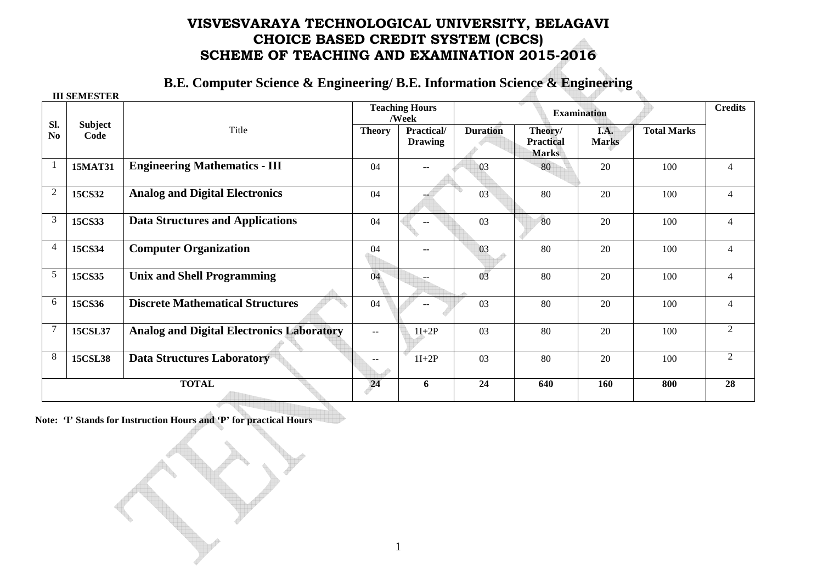## **VISVESVARAYA TECHNOLOGICAL UNIVERSITY, BELAGAVI CHOICE BASED CREDIT SYSTEM (CBCS) SCHEME OF TEACHING AND EXAMINATION 2015-2016**

**B.E. Computer Science & Engineering/ B.E. Information Science & Engineering** 

|                | <b>III SEMESTER</b>    |                                                  |                                |                              |                    |                                             |                      |                    |                |
|----------------|------------------------|--------------------------------------------------|--------------------------------|------------------------------|--------------------|---------------------------------------------|----------------------|--------------------|----------------|
|                |                        |                                                  | <b>Teaching Hours</b><br>/Week |                              | <b>Examination</b> |                                             |                      |                    | <b>Credits</b> |
| Sl.<br>No      | <b>Subject</b><br>Code | Title                                            | <b>Theory</b>                  | Practical/<br><b>Drawing</b> | <b>Duration</b>    | Theory/<br><b>Practical</b><br><b>Marks</b> | I.A.<br><b>Marks</b> | <b>Total Marks</b> |                |
|                | <b>15MAT31</b>         | <b>Engineering Mathematics - III</b>             | 04                             |                              | 03                 | 80                                          | 20                   | 100                | 4              |
| $\overline{c}$ | 15CS32                 | <b>Analog and Digital Electronics</b>            | 04                             |                              | 03                 | 80                                          | 20                   | 100                | 4              |
| 3              | 15CS33                 | <b>Data Structures and Applications</b>          | 04                             |                              | 03                 | 80                                          | 20                   | 100                | 4              |
| 4              | 15CS34                 | <b>Computer Organization</b>                     | 04                             | $-$                          | 03                 | 80                                          | 20                   | 100                | 4              |
| 5              | 15CS35                 | <b>Unix and Shell Programming</b>                | 04                             | --                           | 03                 | 80                                          | 20                   | 100                | 4              |
| 6              | 15CS36                 | <b>Discrete Mathematical Structures</b>          | 04                             |                              | 03                 | 80                                          | 20                   | 100                | 4              |
|                | 15CSL37                | <b>Analog and Digital Electronics Laboratory</b> | $\mathbf{u}$                   | $1I+2P$                      | 03                 | 80                                          | 20                   | 100                | 2              |
| 8              | <b>15CSL38</b>         | <b>Data Structures Laboratory</b>                |                                | $1I+2P$                      | 03                 | 80                                          | 20                   | 100                | $\overline{2}$ |
| <b>TOTAL</b>   |                        |                                                  | 24                             | 6                            | 24                 | 640                                         | 160                  | 800                | 28             |

**Note: 'I' Stands for Instruction Hours and 'P' for practical Hours**

1